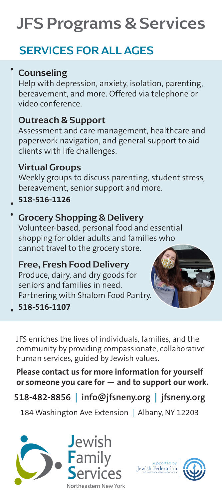# JFS Programs & Services

# SERVICES FOR ALL AGES

#### Counseling

Help with depression, anxiety, isolation, parenting, bereavement, and more. Offered via telephone or video conference.

#### Outreach & Support

Assessment and care management, healthcare and paperwork navigation, and general support to aid clients with life challenges.

#### Virtual Groups

Weekly groups to discuss parenting, student stress, bereavement, senior support and more.

**518-516-1126**

#### Grocery Shopping & Delivery

Volunteer-based, personal food and essential shopping for older adults and families who cannot travel to the grocery store.

### Free, Fresh Food Delivery

Produce, dairy, and dry goods for seniors and families in need. Partnering with Shalom Food Pantry.

#### **518-516-1107**



JFS enriches the lives of individuals, families, and the community by providing compassionate, collaborative human services, guided by Jewish values.

**Please contact us for more information for yourself or someone you care for — and to support our work.**

## **518-482-8856 | info@jfsneny.org | jfsneny.org**

184 Washington Ave Extension | Albany, NY 12203